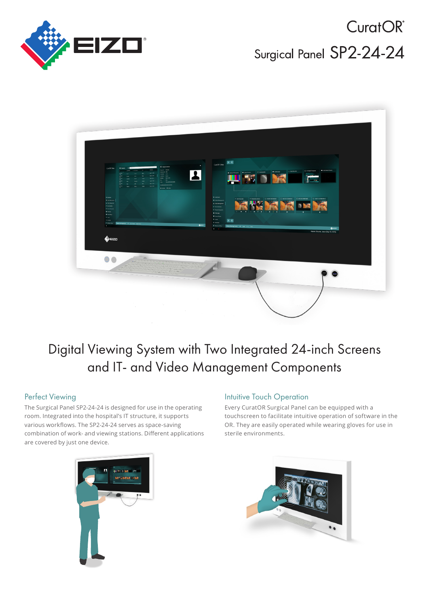

CuratOR<sup>®</sup> Surgical Panel SP2-24-24



# Digital Viewing System with Two Integrated 24-inch Screens and IT- and Video Management Components

## **Perfect Viewing**

The Surgical Panel SP2-24-24 is designed for use in the operating room. Integrated into the hospital's IT structure, it supports various workflows. The SP2-24-24 serves as space-saving combination of work- and viewing stations. Different applications are covered by just one device.

## **Intuitive Touch Operation**

Every CuratOR Surgical Panel can be equipped with a touchscreen to facilitate intuitive operation of software in the OR. They are easily operated while wearing gloves for use in sterile environments.